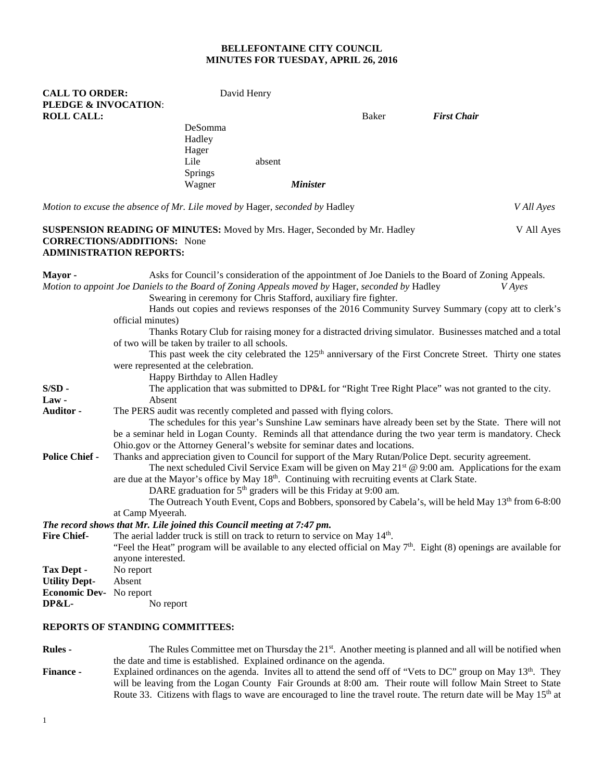# **BELLEFONTAINE CITY COUNCIL MINUTES FOR TUESDAY, APRIL 26, 2016**

| <b>CALL TO ORDER:</b><br>PLEDGE & INVOCATION: |                                                                                                                                                           | David Henry                                                                 |        |                 |                                                                                                 |                                                                                                                       |               |
|-----------------------------------------------|-----------------------------------------------------------------------------------------------------------------------------------------------------------|-----------------------------------------------------------------------------|--------|-----------------|-------------------------------------------------------------------------------------------------|-----------------------------------------------------------------------------------------------------------------------|---------------|
| <b>ROLL CALL:</b>                             |                                                                                                                                                           |                                                                             |        |                 | Baker                                                                                           | <b>First Chair</b>                                                                                                    |               |
|                                               |                                                                                                                                                           | DeSomma                                                                     |        |                 |                                                                                                 |                                                                                                                       |               |
|                                               |                                                                                                                                                           | Hadley                                                                      |        |                 |                                                                                                 |                                                                                                                       |               |
|                                               |                                                                                                                                                           | Hager                                                                       |        |                 |                                                                                                 |                                                                                                                       |               |
|                                               |                                                                                                                                                           | Lile                                                                        | absent |                 |                                                                                                 |                                                                                                                       |               |
|                                               |                                                                                                                                                           | <b>Springs</b>                                                              |        |                 |                                                                                                 |                                                                                                                       |               |
|                                               |                                                                                                                                                           | Wagner                                                                      |        | <b>Minister</b> |                                                                                                 |                                                                                                                       |               |
|                                               | Motion to excuse the absence of Mr. Lile moved by Hager, seconded by Hadley                                                                               |                                                                             |        |                 |                                                                                                 |                                                                                                                       | V All Ayes    |
|                                               | <b>SUSPENSION READING OF MINUTES:</b> Moved by Mrs. Hager, Seconded by Mr. Hadley<br><b>CORRECTIONS/ADDITIONS:</b> None<br><b>ADMINISTRATION REPORTS:</b> |                                                                             |        |                 |                                                                                                 |                                                                                                                       | V All Ayes    |
| Mayor-                                        |                                                                                                                                                           |                                                                             |        |                 |                                                                                                 | Asks for Council's consideration of the appointment of Joe Daniels to the Board of Zoning Appeals.                    |               |
|                                               |                                                                                                                                                           | Swearing in ceremony for Chris Stafford, auxiliary fire fighter.            |        |                 | Motion to appoint Joe Daniels to the Board of Zoning Appeals moved by Hager, seconded by Hadley |                                                                                                                       | <i>V</i> Ayes |
|                                               |                                                                                                                                                           |                                                                             |        |                 |                                                                                                 | Hands out copies and reviews responses of the 2016 Community Survey Summary (copy att to clerk's                      |               |
|                                               | official minutes)                                                                                                                                         |                                                                             |        |                 |                                                                                                 |                                                                                                                       |               |
|                                               |                                                                                                                                                           |                                                                             |        |                 |                                                                                                 | Thanks Rotary Club for raising money for a distracted driving simulator. Businesses matched and a total               |               |
|                                               | of two will be taken by trailer to all schools.                                                                                                           |                                                                             |        |                 |                                                                                                 | This past week the city celebrated the 125 <sup>th</sup> anniversary of the First Concrete Street. Thirty one states  |               |
|                                               | were represented at the celebration.                                                                                                                      |                                                                             |        |                 |                                                                                                 |                                                                                                                       |               |
|                                               |                                                                                                                                                           | Happy Birthday to Allen Hadley                                              |        |                 |                                                                                                 |                                                                                                                       |               |
| $S/SD$ -                                      |                                                                                                                                                           |                                                                             |        |                 |                                                                                                 | The application that was submitted to DP&L for "Right Tree Right Place" was not granted to the city.                  |               |
| $Law -$                                       | Absent                                                                                                                                                    |                                                                             |        |                 |                                                                                                 |                                                                                                                       |               |
| Auditor -                                     | The PERS audit was recently completed and passed with flying colors.                                                                                      |                                                                             |        |                 |                                                                                                 |                                                                                                                       |               |
|                                               |                                                                                                                                                           |                                                                             |        |                 |                                                                                                 | The schedules for this year's Sunshine Law seminars have already been set by the State. There will not                |               |
|                                               |                                                                                                                                                           |                                                                             |        |                 |                                                                                                 | be a seminar held in Logan County. Reminds all that attendance during the two year term is mandatory. Check           |               |
|                                               | Ohio.gov or the Attorney General's website for seminar dates and locations.                                                                               |                                                                             |        |                 |                                                                                                 |                                                                                                                       |               |
| <b>Police Chief -</b>                         |                                                                                                                                                           |                                                                             |        |                 |                                                                                                 | Thanks and appreciation given to Council for support of the Mary Rutan/Police Dept. security agreement.               |               |
|                                               |                                                                                                                                                           |                                                                             |        |                 |                                                                                                 | The next scheduled Civil Service Exam will be given on May $21st$ @ 9:00 am. Applications for the exam                |               |
|                                               |                                                                                                                                                           |                                                                             |        |                 | are due at the Mayor's office by May 18th. Continuing with recruiting events at Clark State.    |                                                                                                                       |               |
|                                               |                                                                                                                                                           | DARE graduation for 5 <sup>th</sup> graders will be this Friday at 9:00 am. |        |                 |                                                                                                 |                                                                                                                       |               |
|                                               |                                                                                                                                                           |                                                                             |        |                 |                                                                                                 | The Outreach Youth Event, Cops and Bobbers, sponsored by Cabela's, will be held May 13 <sup>th</sup> from 6-8:00      |               |
|                                               | at Camp Myeerah.                                                                                                                                          |                                                                             |        |                 |                                                                                                 |                                                                                                                       |               |
|                                               | The record shows that Mr. Lile joined this Council meeting at 7:47 pm.                                                                                    |                                                                             |        |                 |                                                                                                 |                                                                                                                       |               |
| <b>Fire Chief-</b>                            | The aerial ladder truck is still on track to return to service on May 14 <sup>th</sup> .                                                                  |                                                                             |        |                 |                                                                                                 |                                                                                                                       |               |
|                                               |                                                                                                                                                           |                                                                             |        |                 |                                                                                                 | "Feel the Heat" program will be available to any elected official on May $7th$ . Eight (8) openings are available for |               |
|                                               | anyone interested.                                                                                                                                        |                                                                             |        |                 |                                                                                                 |                                                                                                                       |               |
| Tax Dept -                                    | No report                                                                                                                                                 |                                                                             |        |                 |                                                                                                 |                                                                                                                       |               |
| <b>Utility Dept-</b>                          | Absent                                                                                                                                                    |                                                                             |        |                 |                                                                                                 |                                                                                                                       |               |
| Economic Dev- No report<br>DP&L-              |                                                                                                                                                           |                                                                             |        |                 |                                                                                                 |                                                                                                                       |               |
|                                               | No report                                                                                                                                                 |                                                                             |        |                 |                                                                                                 |                                                                                                                       |               |
|                                               | REPORTS OF STANDING COMMITTEES:                                                                                                                           |                                                                             |        |                 |                                                                                                 |                                                                                                                       |               |
| <b>Rules</b> -                                |                                                                                                                                                           |                                                                             |        |                 |                                                                                                 | The Rules Committee met on Thursday the 21 <sup>st</sup> . Another meeting is planned and all will be notified when   |               |

the date and time is established.Explained ordinance on the agenda. **Finance -** Explained ordinances on the agenda. Invites all to attend the send off of "Vets to DC" group on May 13<sup>th</sup>. They will be leaving from the Logan County Fair Grounds at 8:00 am. Their route will follow Main Street to State Route 33. Citizens with flags to wave are encouraged to line the travel route. The return date will be May 15<sup>th</sup> at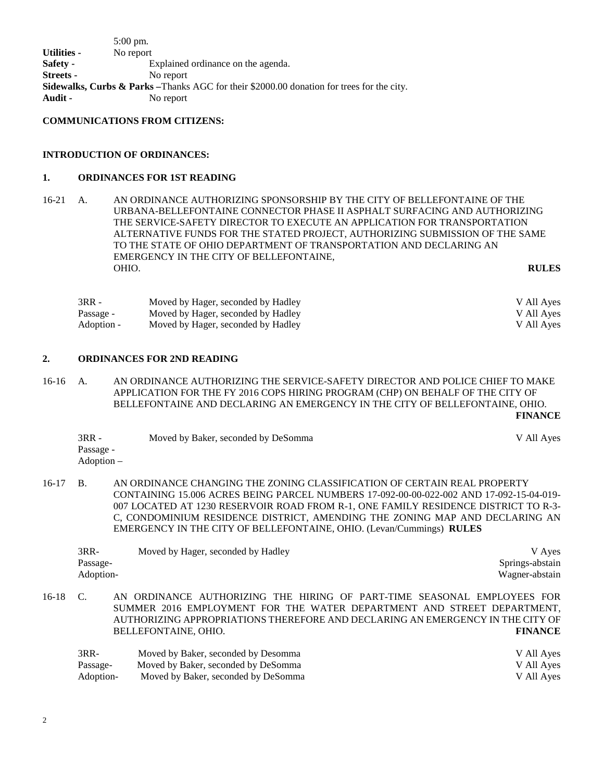5:00 pm. **Utilities -** No report **Safety -** Explained ordinance on the agenda. **Streets -** No report **Sidewalks, Curbs & Parks –**Thanks AGC for their \$2000.00 donation for trees for the city. **Audit -** No report

**COMMUNICATIONS FROM CITIZENS:**

#### **INTRODUCTION OF ORDINANCES:**

#### **1. ORDINANCES FOR 1ST READING**

16-21 A. AN ORDINANCE AUTHORIZING SPONSORSHIP BY THE CITY OF BELLEFONTAINE OF THE URBANA-BELLEFONTAINE CONNECTOR PHASE II ASPHALT SURFACING AND AUTHORIZING THE SERVICE-SAFETY DIRECTOR TO EXECUTE AN APPLICATION FOR TRANSPORTATION ALTERNATIVE FUNDS FOR THE STATED PROJECT, AUTHORIZING SUBMISSION OF THE SAME TO THE STATE OF OHIO DEPARTMENT OF TRANSPORTATION AND DECLARING AN EMERGENCY IN THE CITY OF BELLEFONTAINE, OHIO. **RULES**

| 3RR -      | Moved by Hager, seconded by Hadley | V All Ayes |
|------------|------------------------------------|------------|
| Passage -  | Moved by Hager, seconded by Hadley | V All Ayes |
| Adoption - | Moved by Hager, seconded by Hadley | V All Ayes |

### **2. ORDINANCES FOR 2ND READING**

16-16 A. AN ORDINANCE AUTHORIZING THE SERVICE-SAFETY DIRECTOR AND POLICE CHIEF TO MAKE APPLICATION FOR THE FY 2016 COPS HIRING PROGRAM (CHP) ON BEHALF OF THE CITY OF BELLEFONTAINE AND DECLARING AN EMERGENCY IN THE CITY OF BELLEFONTAINE, OHIO. **FINANCE**

| $3RR -$    | Moved by Baker, seconded by DeSomma | V All Ayes |
|------------|-------------------------------------|------------|
| Passage -  |                                     |            |
| Adoption – |                                     |            |

16-17 B. AN ORDINANCE CHANGING THE ZONING CLASSIFICATION OF CERTAIN REAL PROPERTY CONTAINING 15.006 ACRES BEING PARCEL NUMBERS 17-092-00-00-022-002 AND 17-092-15-04-019- 007 LOCATED AT 1230 RESERVOIR ROAD FROM R-1, ONE FAMILY RESIDENCE DISTRICT TO R-3- C, CONDOMINIUM RESIDENCE DISTRICT, AMENDING THE ZONING MAP AND DECLARING AN EMERGENCY IN THE CITY OF BELLEFONTAINE, OHIO. (Levan/Cummings) **RULES**

| $3RR-$    | Moved by Hager, seconded by Hadley | V Aves          |
|-----------|------------------------------------|-----------------|
| Passage-  |                                    | Springs-abstain |
| Adoption- |                                    | Wagner-abstain  |
|           |                                    |                 |

16-18 C. AN ORDINANCE AUTHORIZING THE HIRING OF PART-TIME SEASONAL EMPLOYEES FOR SUMMER 2016 EMPLOYMENT FOR THE WATER DEPARTMENT AND STREET DEPARTMENT, AUTHORIZING APPROPRIATIONS THEREFORE AND DECLARING AN EMERGENCY IN THE CITY OF BELLEFONTAINE, OHIO. **FINANCE**

| 3RR-      | Moved by Baker, seconded by Desomma | V All Ayes |
|-----------|-------------------------------------|------------|
| Passage-  | Moved by Baker, seconded by DeSomma | V All Ayes |
| Adoption- | Moved by Baker, seconded by DeSomma | V All Ayes |